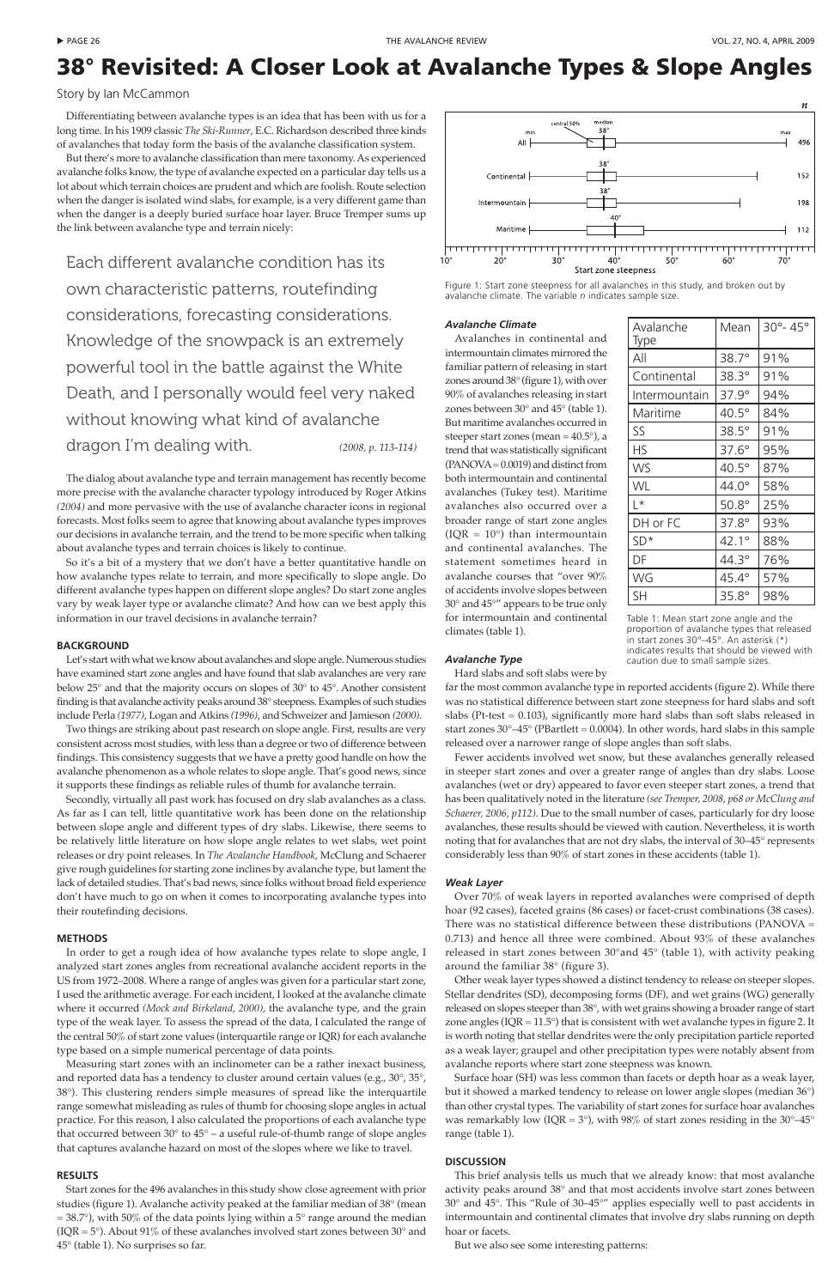Differentiating between avalanche types is an idea that has been with us for a long time. In his 1909 classic *The Ski-Runner*, E.C. Richardson described three kinds of avalanches that today form the basis of the avalanche classification system.

But there's more to avalanche classification than mere taxonomy. As experienced avalanche folks know, the type of avalanche expected on a particular day tells us a lot about which terrain choices are prudent and which are foolish. Route selection when the danger is isolated wind slabs, for example, is a very different game than when the danger is a deeply buried surface hoar layer. Bruce Tremper sums up the link between avalanche type and terrain nicely:

Each different avalanche condition has its own characteristic patterns, routefinding considerations, forecasting considerations. Knowledge of the snowpack is an extremely powerful tool in the battle against the White Death, and I personally would feel very naked without knowing what kind of avalanche dragon I'm dealing with. *(2008, p. 113-114)*

The dialog about avalanche type and terrain management has recently become more precise with the avalanche character typology introduced by Roger Atkins *(2004)* and more pervasive with the use of avalanche character icons in regional forecasts. Most folks seem to agree that knowing about avalanche types improves our decisions in avalanche terrain, and the trend to be more specific when talking about avalanche types and terrain choices is likely to continue.

So it's a bit of a mystery that we don't have a better quantitative handle on how avalanche types relate to terrain, and more specifically to slope angle. Do different avalanche types happen on different slope angles? Do start zone angles vary by weak layer type or avalanche climate? And how can we best apply this information in our travel decisions in avalanche terrain?

## **BACKGROUND**

Let's start with what we know about avalanches and slope angle. Numerous studies have examined start zone angles and have found that slab avalanches are very rare below 25° and that the majority occurs on slopes of 30° to 45°. Another consistent finding is that avalanche activity peaks around 38° steepness. Examples of such studies include Perla *(1977)*, Logan and Atkins *(1996)*, and Schweizer and Jamieson *(2000)*.

Two things are striking about past research on slope angle. First, results are very consistent across most studies, with less than a degree or two of difference between findings. This consistency suggests that we have a pretty good handle on how the avalanche phenomenon as a whole relates to slope angle. That's good news, since it supports these findings as reliable rules of thumb for avalanche terrain.

Secondly, virtually all past work has focused on dry slab avalanches as a class. As far as I can tell, little quantitative work has been done on the relationship between slope angle and different types of dry slabs. Likewise, there seems to be relatively little literature on how slope angle relates to wet slabs, wet point releases or dry point releases. In *The Avalanche Handbook*, McClung and Schaerer give rough guidelines for starting zone inclines by avalanche type, but lament the lack of detailed studies. That's bad news, since folks without broad field experience don't have much to go on when it comes to incorporating avalanche types into their routefinding decisions.

## **METHODS**



In order to get a rough idea of how avalanche types relate to slope angle, I analyzed start zones angles from recreational avalanche accident reports in the US from 1972–2008. Where a range of angles was given for a particular start zone, I used the arithmetic average. For each incident, I looked at the avalanche climate where it occurred *(Mock and Birkeland, 2000)*, the avalanche type, and the grain type of the weak layer. To assess the spread of the data, I calculated the range of the central 50% of start zone values (interquartile range or IQR) for each avalanche type based on a simple numerical percentage of data points.

Measuring start zones with an inclinometer can be a rather inexact business, and reported data has a tendency to cluster around certain values (e.g., 30°, 35°, 38°). This clustering renders simple measures of spread like the interquartile range somewhat misleading as rules of thumb for choosing slope angles in actual practice. For this reason, I also calculated the proportions of each avalanche type that occurred between 30° to 45° – a useful rule-of-thumb range of slope angles that captures avalanche hazard on most of the slopes where we like to travel.

#### **RESULTS**

Start zones for the 496 avalanches in this study show close agreement with prior studies (figure 1). Avalanche activity peaked at the familiar median of 38° (mean  $= 38.7^{\circ}$ ), with 50% of the data points lying within a 5° range around the median (IQR =  $5^{\circ}$ ). About 91% of these avalanches involved start zones between 30 $^{\circ}$  and 45° (table 1). No surprises so far.

#### *Avalanche Climate*

Avalanches in continental and intermountain climates mirrored the familiar pattern of releasing in start zones around 38° (figure 1), with over 90% of avalanches releasing in start zones between 30° and 45° (table 1). But maritime avalanches occurred in steeper start zones (mean = 40.5°), a trend that was statistically significant (PANOVA = 0.0019) and distinct from both intermountain and continental avalanches (Tukey test). Maritime avalanches also occurred over a broader range of start zone angles (IQR =  $10^{\circ}$ ) than intermountain and continental avalanches. The statement sometimes heard in avalanche courses that "over 90% of accidents involve slopes between 30° and 45°" appears to be true only for intermountain and continental climates (table 1).

# *Avalanche Type*

Hard slabs and soft slabs were by

far the most common avalanche type in reported accidents (figure 2). While there was no statistical difference between start zone steepness for hard slabs and soft slabs (Pt-test  $= 0.103$ ), significantly more hard slabs than soft slabs released in start zones  $30^{\circ} - 45^{\circ}$  (PBartlett = 0.0004). In other words, hard slabs in this sample released over a narrower range of slope angles than soft slabs.

Fewer accidents involved wet snow, but these avalanches generally released in steeper start zones and over a greater range of angles than dry slabs. Loose avalanches (wet or dry) appeared to favor even steeper start zones, a trend that has been qualitatively noted in the literature *(see Tremper, 2008, p68 or McClung and Schaerer, 2006, p112)*. Due to the small number of cases, particularly for dry loose avalanches, these results should be viewed with caution. Nevertheless, it is worth noting that for avalanches that are not dry slabs, the interval of 30–45° represents considerably less than 90% of start zones in these accidents (table 1).

# *Weak Layer*

Over 70% of weak layers in reported avalanches were comprised of depth hoar (92 cases), faceted grains (86 cases) or facet-crust combinations (38 cases). There was no statistical difference between these distributions (PANOVA  $=$ 0.713) and hence all three were combined. About 93% of these avalanches

released in start zones between 30°and 45° (table 1), with activity peaking around the familiar 38° (figure 3).

Other weak layer types showed a distinct tendency to release on steeper slopes. Stellar dendrites (SD), decomposing forms (DF), and wet grains (WG) generally released on slopes steeper than 38°, with wet grains showing a broader range of start zone angles ( $IQR = 11.5^{\circ}$ ) that is consistent with wet avalanche types in figure 2. It is worth noting that stellar dendrites were the only precipitation particle reported as a weak layer; graupel and other precipitation types were notably absent from avalanche reports where start zone steepness was known.

Surface hoar (SH) was less common than facets or depth hoar as a weak layer, but it showed a marked tendency to release on lower angle slopes (median 36°) than other crystal types. The variability of start zones for surface hoar avalanches was remarkably low (IQR =  $3^{\circ}$ ), with 98% of start zones residing in the  $30^{\circ}$ -45 $^{\circ}$ range (table 1).

#### **DISCUSSION**

This brief analysis tells us much that we already know: that most avalanche activity peaks around 38° and that most accidents involve start zones between 30° and 45°. This "Rule of 30–45°" applies especially well to past accidents in intermountain and continental climates that involve dry slabs running on depth hoar or facets.

But we also see some interesting patterns:

# 38° Revisited: A Closer Look at Avalanche Types & Slope Angles

Story by Ian McCammon

Figure 1: Start zone steepness for all avalanches in this study, and broken out by avalanche climate. The variable *n* indicates sample size.

| Avalanche<br>Type | Mean           | 30°-45° |
|-------------------|----------------|---------|
| All               | $38.7^\circ$   | 91%     |
| Continental       | $38.3^\circ$   | 91%     |
| Intermountain     | $37.9^\circ$   | 94%     |
| Maritime          | $40.5^\circ$   | 84%     |
| SS                | $38.5^\circ$   | 91%     |
| HS                | $37.6^\circ$   | 95%     |
| <b>WS</b>         | $40.5^\circ$   | 87%     |
| WL                | $44.0^\circ$   | 58%     |
| $L^*$             | $50.8^\circ$   | 25%     |
| DH or FC          | $37.8^\circ$   | 93%     |
| $SD*$             | $42.1^{\circ}$ | 88%     |
| DF                | $44.3^\circ$   | 76%     |
| WG                | $45.4^\circ$   | 57%     |
| <b>SH</b>         | $35.8^\circ$   | 98%     |

Table 1: Mean start zone angle and the proportion of avalanche types that released in start zones 30°–45°. An asterisk (\*) indicates results that should be viewed with caution due to small sample sizes.